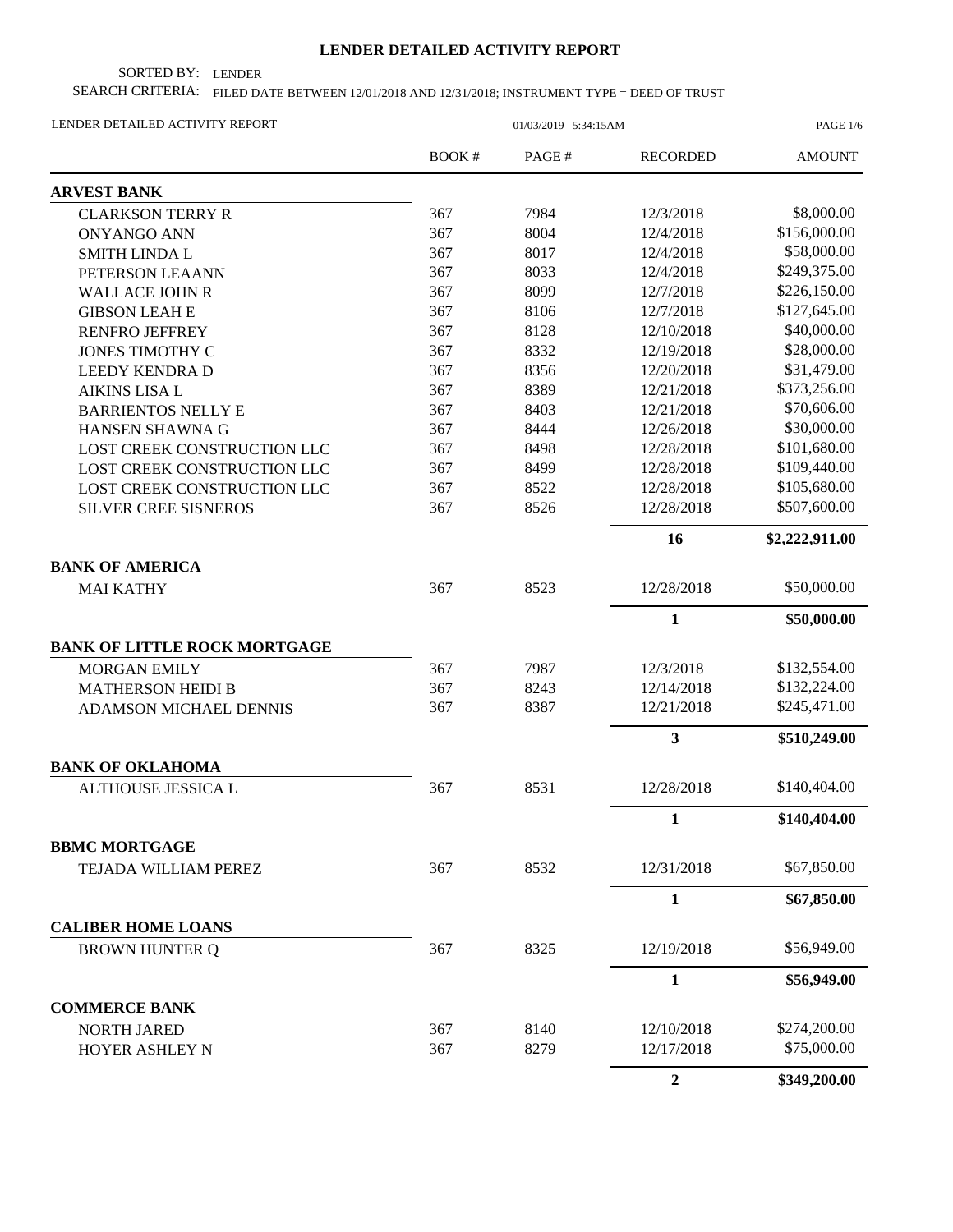## **LENDER DETAILED ACTIVITY REPORT**

SORTED BY: LENDER

SEARCH CRITERIA: FILED DATE BETWEEN 12/01/2018 AND 12/31/2018; INSTRUMENT TYPE = DEED OF TRUST

| LENDER DETAILED ACTIVITY REPORT              | 01/03/2019 5:34:15AM |       |                  | <b>PAGE 1/6</b> |  |
|----------------------------------------------|----------------------|-------|------------------|-----------------|--|
|                                              | BOOK #               | PAGE# | <b>RECORDED</b>  | <b>AMOUNT</b>   |  |
| <b>ARVEST BANK</b>                           |                      |       |                  |                 |  |
| <b>CLARKSON TERRY R</b>                      | 367                  | 7984  | 12/3/2018        | \$8,000.00      |  |
| <b>ONYANGO ANN</b>                           | 367                  | 8004  | 12/4/2018        | \$156,000.00    |  |
| <b>SMITH LINDA L</b>                         | 367                  | 8017  | 12/4/2018        | \$58,000.00     |  |
| PETERSON LEAANN                              | 367                  | 8033  | 12/4/2018        | \$249,375.00    |  |
| <b>WALLACE JOHN R</b>                        | 367                  | 8099  | 12/7/2018        | \$226,150.00    |  |
| <b>GIBSON LEAH E</b>                         | 367                  | 8106  | 12/7/2018        | \$127,645.00    |  |
| <b>RENFRO JEFFREY</b>                        | 367                  | 8128  | 12/10/2018       | \$40,000.00     |  |
| <b>JONES TIMOTHY C</b>                       | 367                  | 8332  | 12/19/2018       | \$28,000.00     |  |
| <b>LEEDY KENDRA D</b>                        | 367                  | 8356  | 12/20/2018       | \$31,479.00     |  |
| <b>AIKINS LISA L</b>                         | 367                  | 8389  | 12/21/2018       | \$373,256.00    |  |
| <b>BARRIENTOS NELLY E</b>                    | 367                  | 8403  | 12/21/2018       | \$70,606.00     |  |
| HANSEN SHAWNA G                              | 367                  | 8444  | 12/26/2018       | \$30,000.00     |  |
| LOST CREEK CONSTRUCTION LLC                  | 367                  | 8498  | 12/28/2018       | \$101,680.00    |  |
| LOST CREEK CONSTRUCTION LLC                  | 367                  | 8499  | 12/28/2018       | \$109,440.00    |  |
| LOST CREEK CONSTRUCTION LLC                  | 367                  | 8522  | 12/28/2018       | \$105,680.00    |  |
| <b>SILVER CREE SISNEROS</b>                  | 367                  | 8526  | 12/28/2018       | \$507,600.00    |  |
|                                              |                      |       | 16               | \$2,222,911.00  |  |
| <b>BANK OF AMERICA</b>                       |                      |       |                  |                 |  |
| <b>MAI KATHY</b>                             | 367                  | 8523  | 12/28/2018       | \$50,000.00     |  |
|                                              |                      |       | $\mathbf{1}$     | \$50,000.00     |  |
| <b>BANK OF LITTLE ROCK MORTGAGE</b>          |                      |       |                  |                 |  |
| <b>MORGAN EMILY</b>                          | 367                  | 7987  | 12/3/2018        | \$132,554.00    |  |
| <b>MATHERSON HEIDI B</b>                     | 367                  | 8243  | 12/14/2018       | \$132,224.00    |  |
| ADAMSON MICHAEL DENNIS                       | 367                  | 8387  | 12/21/2018       | \$245,471.00    |  |
|                                              |                      |       | 3                | \$510,249.00    |  |
| <b>BANK OF OKLAHOMA</b>                      |                      |       |                  |                 |  |
| ALTHOUSE JESSICA L                           | 367                  | 8531  | 12/28/2018       | \$140,404.00    |  |
|                                              |                      |       | $\mathbf{1}$     | \$140,404.00    |  |
| <b>BBMC MORTGAGE</b><br>TEJADA WILLIAM PEREZ | 367                  | 8532  | 12/31/2018       | \$67,850.00     |  |
|                                              |                      |       | $\mathbf{1}$     | \$67,850.00     |  |
| <b>CALIBER HOME LOANS</b>                    |                      |       |                  |                 |  |
| <b>BROWN HUNTER Q</b>                        | 367                  | 8325  | 12/19/2018       | \$56,949.00     |  |
|                                              |                      |       | 1                | \$56,949.00     |  |
| <b>COMMERCE BANK</b>                         |                      |       |                  |                 |  |
| <b>NORTH JARED</b>                           | 367                  | 8140  | 12/10/2018       | \$274,200.00    |  |
| HOYER ASHLEY N                               | 367                  | 8279  | 12/17/2018       | \$75,000.00     |  |
|                                              |                      |       | $\boldsymbol{2}$ | \$349,200.00    |  |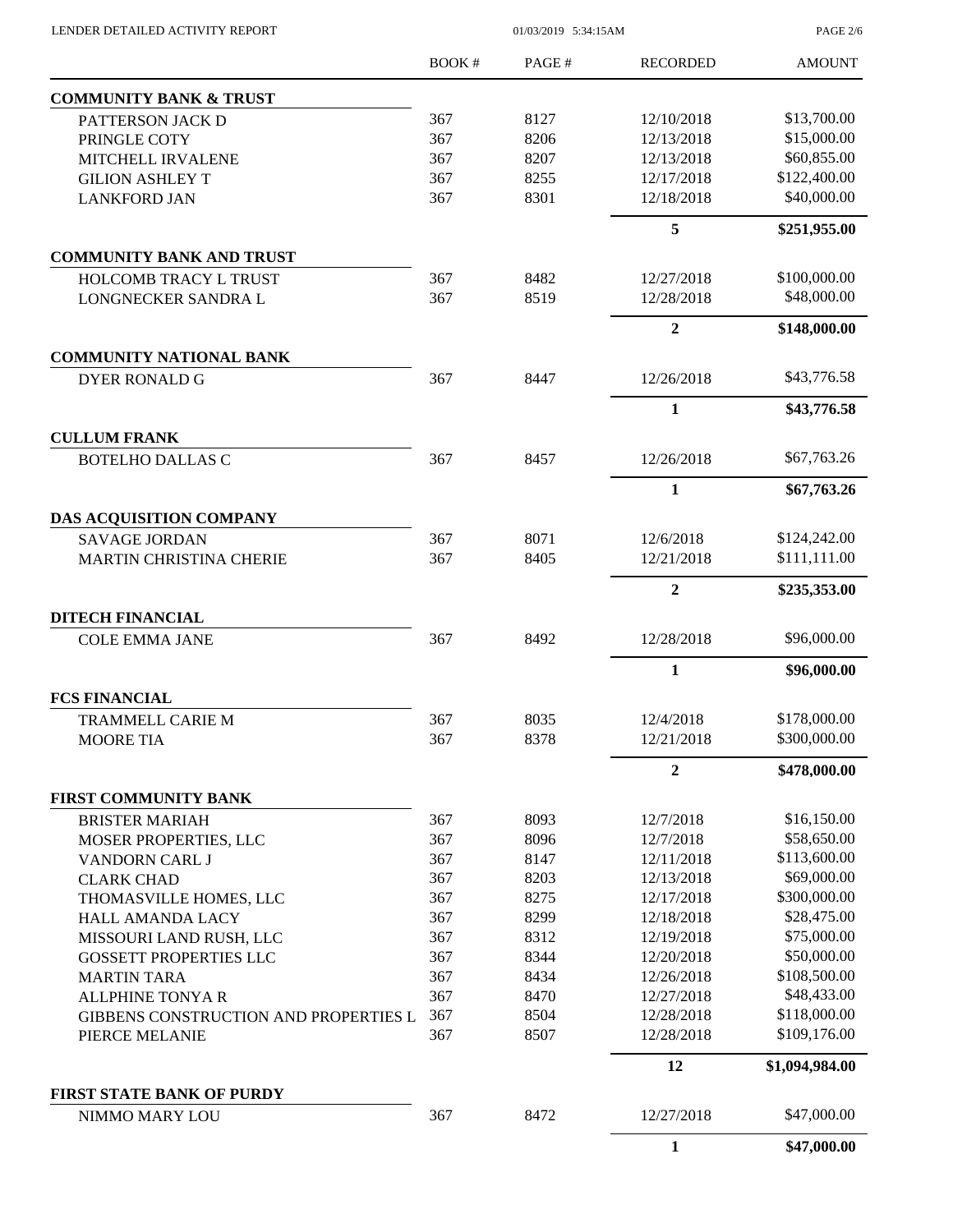$01/03/2019$  5:34:15AM

PAGE 2/6

|                                                    | <b>BOOK#</b> | PAGE# | <b>RECORDED</b> | <b>AMOUNT</b>  |
|----------------------------------------------------|--------------|-------|-----------------|----------------|
| <b>COMMUNITY BANK &amp; TRUST</b>                  |              |       |                 |                |
| PATTERSON JACK D                                   | 367          | 8127  | 12/10/2018      | \$13,700.00    |
| PRINGLE COTY                                       | 367          | 8206  | 12/13/2018      | \$15,000.00    |
| MITCHELL IRVALENE                                  | 367          | 8207  | 12/13/2018      | \$60,855.00    |
| <b>GILION ASHLEY T</b>                             | 367          | 8255  | 12/17/2018      | \$122,400.00   |
| <b>LANKFORD JAN</b>                                | 367          | 8301  | 12/18/2018      | \$40,000.00    |
|                                                    |              |       | 5               | \$251,955.00   |
| <b>COMMUNITY BANK AND TRUST</b>                    |              |       |                 |                |
| <b>HOLCOMB TRACY L TRUST</b>                       | 367          | 8482  | 12/27/2018      | \$100,000.00   |
| LONGNECKER SANDRA L                                | 367          | 8519  | 12/28/2018      | \$48,000.00    |
|                                                    |              |       | $\overline{2}$  | \$148,000.00   |
| <b>COMMUNITY NATIONAL BANK</b>                     |              |       |                 |                |
| <b>DYER RONALD G</b>                               | 367          | 8447  | 12/26/2018      | \$43,776.58    |
|                                                    |              |       | 1               | \$43,776.58    |
| <b>CULLUM FRANK</b>                                |              |       |                 |                |
| <b>BOTELHO DALLAS C</b>                            | 367          | 8457  | 12/26/2018      | \$67,763.26    |
|                                                    |              |       | $\mathbf{1}$    | \$67,763.26    |
| DAS ACQUISITION COMPANY                            |              |       |                 |                |
| <b>SAVAGE JORDAN</b>                               | 367          | 8071  | 12/6/2018       | \$124,242.00   |
| <b>MARTIN CHRISTINA CHERIE</b>                     | 367          | 8405  | 12/21/2018      | \$111,111.00   |
|                                                    |              |       | $\overline{2}$  | \$235,353.00   |
| <b>DITECH FINANCIAL</b>                            |              |       |                 |                |
| <b>COLE EMMA JANE</b>                              | 367          | 8492  | 12/28/2018      | \$96,000.00    |
|                                                    |              |       | $\mathbf{1}$    | \$96,000.00    |
| <b>FCS FINANCIAL</b>                               |              |       |                 |                |
| <b>TRAMMELL CARIE M</b>                            | 367          | 8035  | 12/4/2018       | \$178,000.00   |
| <b>MOORE TIA</b>                                   | 367          | 8378  | 12/21/2018      | \$300,000.00   |
|                                                    |              |       | $\overline{2}$  | \$478,000.00   |
| FIRST COMMUNITY BANK                               |              |       |                 |                |
| <b>BRISTER MARIAH</b>                              | 367          | 8093  | 12/7/2018       | \$16,150.00    |
| MOSER PROPERTIES, LLC                              | 367          | 8096  | 12/7/2018       | \$58,650.00    |
| <b>VANDORN CARL J</b>                              | 367          | 8147  | 12/11/2018      | \$113,600.00   |
| <b>CLARK CHAD</b>                                  | 367          | 8203  | 12/13/2018      | \$69,000.00    |
| THOMASVILLE HOMES, LLC                             | 367          | 8275  | 12/17/2018      | \$300,000.00   |
| <b>HALL AMANDA LACY</b>                            | 367          | 8299  | 12/18/2018      | \$28,475.00    |
| MISSOURI LAND RUSH, LLC                            | 367          | 8312  | 12/19/2018      | \$75,000.00    |
| <b>GOSSETT PROPERTIES LLC</b>                      | 367          | 8344  | 12/20/2018      | \$50,000.00    |
| <b>MARTIN TARA</b>                                 | 367          | 8434  | 12/26/2018      | \$108,500.00   |
| <b>ALLPHINE TONYA R</b>                            | 367          | 8470  | 12/27/2018      | \$48,433.00    |
| GIBBENS CONSTRUCTION AND PROPERTIES L              | 367          | 8504  | 12/28/2018      | \$118,000.00   |
| PIERCE MELANIE                                     | 367          | 8507  | 12/28/2018      | \$109,176.00   |
|                                                    |              |       | 12              | \$1,094,984.00 |
| <b>FIRST STATE BANK OF PURDY</b><br>NIMMO MARY LOU | 367          | 8472  | 12/27/2018      | \$47,000.00    |
|                                                    |              |       |                 |                |
|                                                    |              |       | $\mathbf{1}$    | \$47,000.00    |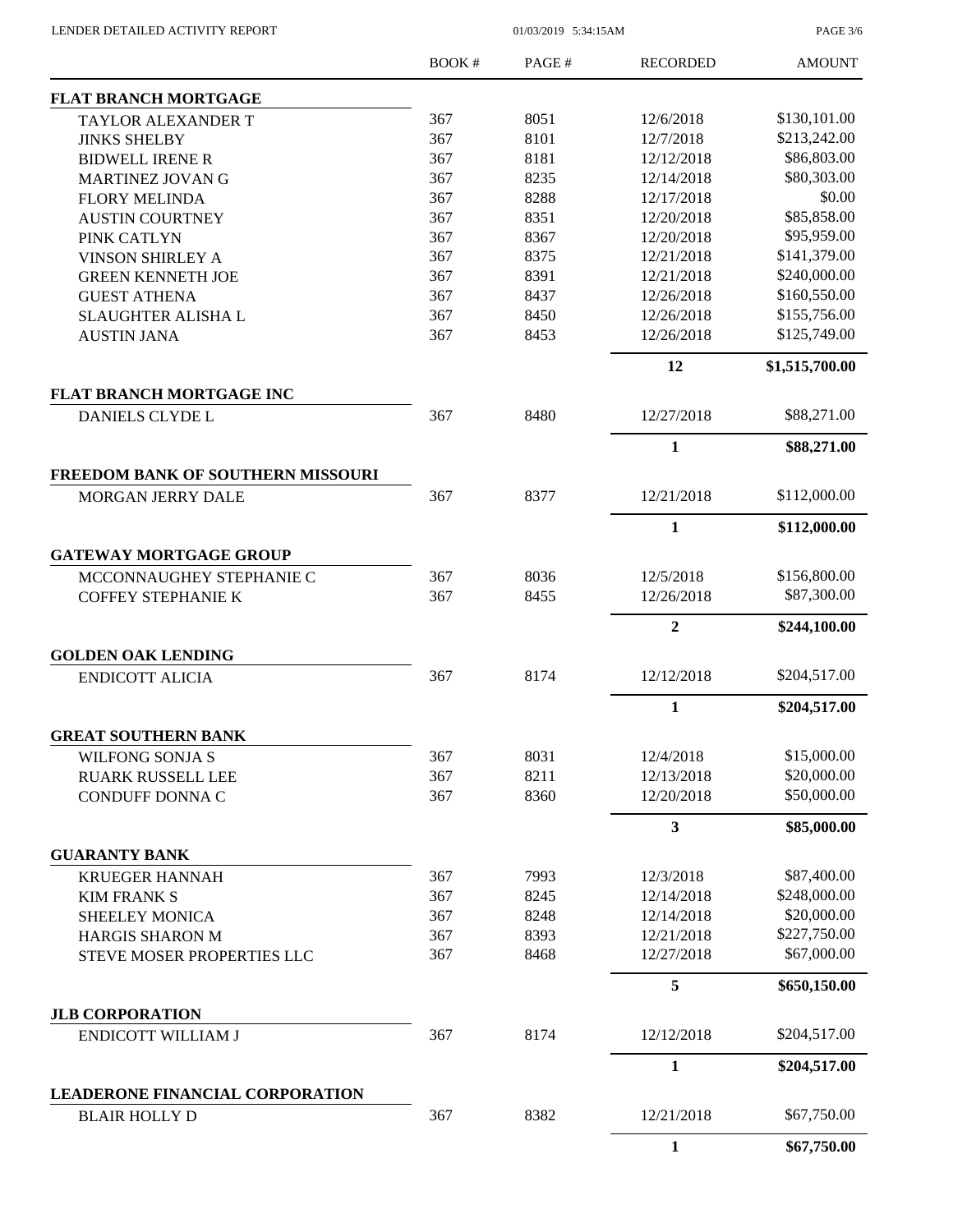LENDER DETAILED ACTIVITY REPORT 01/03/2019 5:34:15AM

PAGE 3/6

|                                                               | BOOK# | PAGE# | <b>RECORDED</b>  | <b>AMOUNT</b>  |
|---------------------------------------------------------------|-------|-------|------------------|----------------|
| <b>FLAT BRANCH MORTGAGE</b>                                   |       |       |                  |                |
| <b>TAYLOR ALEXANDER T</b>                                     | 367   | 8051  | 12/6/2018        | \$130,101.00   |
| <b>JINKS SHELBY</b>                                           | 367   | 8101  | 12/7/2018        | \$213,242.00   |
| <b>BIDWELL IRENE R</b>                                        | 367   | 8181  | 12/12/2018       | \$86,803.00    |
| <b>MARTINEZ JOVAN G</b>                                       | 367   | 8235  | 12/14/2018       | \$80,303.00    |
| <b>FLORY MELINDA</b>                                          | 367   | 8288  | 12/17/2018       | \$0.00         |
| <b>AUSTIN COURTNEY</b>                                        | 367   | 8351  | 12/20/2018       | \$85,858.00    |
| PINK CATLYN                                                   | 367   | 8367  | 12/20/2018       | \$95,959.00    |
| <b>VINSON SHIRLEY A</b>                                       | 367   | 8375  | 12/21/2018       | \$141,379.00   |
| <b>GREEN KENNETH JOE</b>                                      | 367   | 8391  | 12/21/2018       | \$240,000.00   |
| <b>GUEST ATHENA</b>                                           | 367   | 8437  | 12/26/2018       | \$160,550.00   |
| <b>SLAUGHTER ALISHA L</b>                                     | 367   | 8450  | 12/26/2018       | \$155,756.00   |
| <b>AUSTIN JANA</b>                                            | 367   | 8453  | 12/26/2018       | \$125,749.00   |
|                                                               |       |       | 12               | \$1,515,700.00 |
| FLAT BRANCH MORTGAGE INC                                      | 367   |       |                  |                |
| <b>DANIELS CLYDE L</b>                                        |       | 8480  | 12/27/2018       | \$88,271.00    |
|                                                               |       |       | 1                | \$88,271.00    |
| <b>FREEDOM BANK OF SOUTHERN MISSOURI</b><br>MORGAN JERRY DALE | 367   | 8377  | 12/21/2018       | \$112,000.00   |
|                                                               |       |       | $\mathbf{1}$     | \$112,000.00   |
| <b>GATEWAY MORTGAGE GROUP</b>                                 |       |       |                  |                |
| MCCONNAUGHEY STEPHANIE C                                      | 367   | 8036  | 12/5/2018        | \$156,800.00   |
|                                                               | 367   | 8455  | 12/26/2018       | \$87,300.00    |
| <b>COFFEY STEPHANIE K</b>                                     |       |       |                  |                |
|                                                               |       |       | $\boldsymbol{2}$ | \$244,100.00   |
| <b>GOLDEN OAK LENDING</b>                                     |       |       |                  |                |
| <b>ENDICOTT ALICIA</b>                                        | 367   | 8174  | 12/12/2018       | \$204,517.00   |
|                                                               |       |       | 1                | \$204,517.00   |
| <b>GREAT SOUTHERN BANK</b>                                    |       |       |                  |                |
| <b>WILFONG SONJA S</b>                                        | 367   | 8031  | 12/4/2018        | \$15,000.00    |
| <b>RUARK RUSSELL LEE</b>                                      | 367   | 8211  | 12/13/2018       | \$20,000.00    |
| CONDUFF DONNA C                                               | 367   | 8360  | 12/20/2018       | \$50,000.00    |
|                                                               |       |       | 3                | \$85,000.00    |
| <b>GUARANTY BANK</b>                                          |       |       |                  |                |
| <b>KRUEGER HANNAH</b>                                         | 367   | 7993  | 12/3/2018        | \$87,400.00    |
| <b>KIM FRANK S</b>                                            | 367   | 8245  | 12/14/2018       | \$248,000.00   |
| <b>SHEELEY MONICA</b>                                         | 367   | 8248  | 12/14/2018       | \$20,000.00    |
| <b>HARGIS SHARON M</b>                                        | 367   | 8393  | 12/21/2018       | \$227,750.00   |
| STEVE MOSER PROPERTIES LLC                                    | 367   | 8468  | 12/27/2018       | \$67,000.00    |
|                                                               |       |       | 5                | \$650,150.00   |
| <b>JLB CORPORATION</b><br><b>ENDICOTT WILLIAM J</b>           | 367   | 8174  | 12/12/2018       | \$204,517.00   |
|                                                               |       |       | $\mathbf{1}$     | \$204,517.00   |
| LEADERONE FINANCIAL CORPORATION                               |       |       |                  |                |
| <b>BLAIR HOLLY D</b>                                          | 367   | 8382  | 12/21/2018       | \$67,750.00    |
|                                                               |       |       | $\mathbf{1}$     | \$67,750.00    |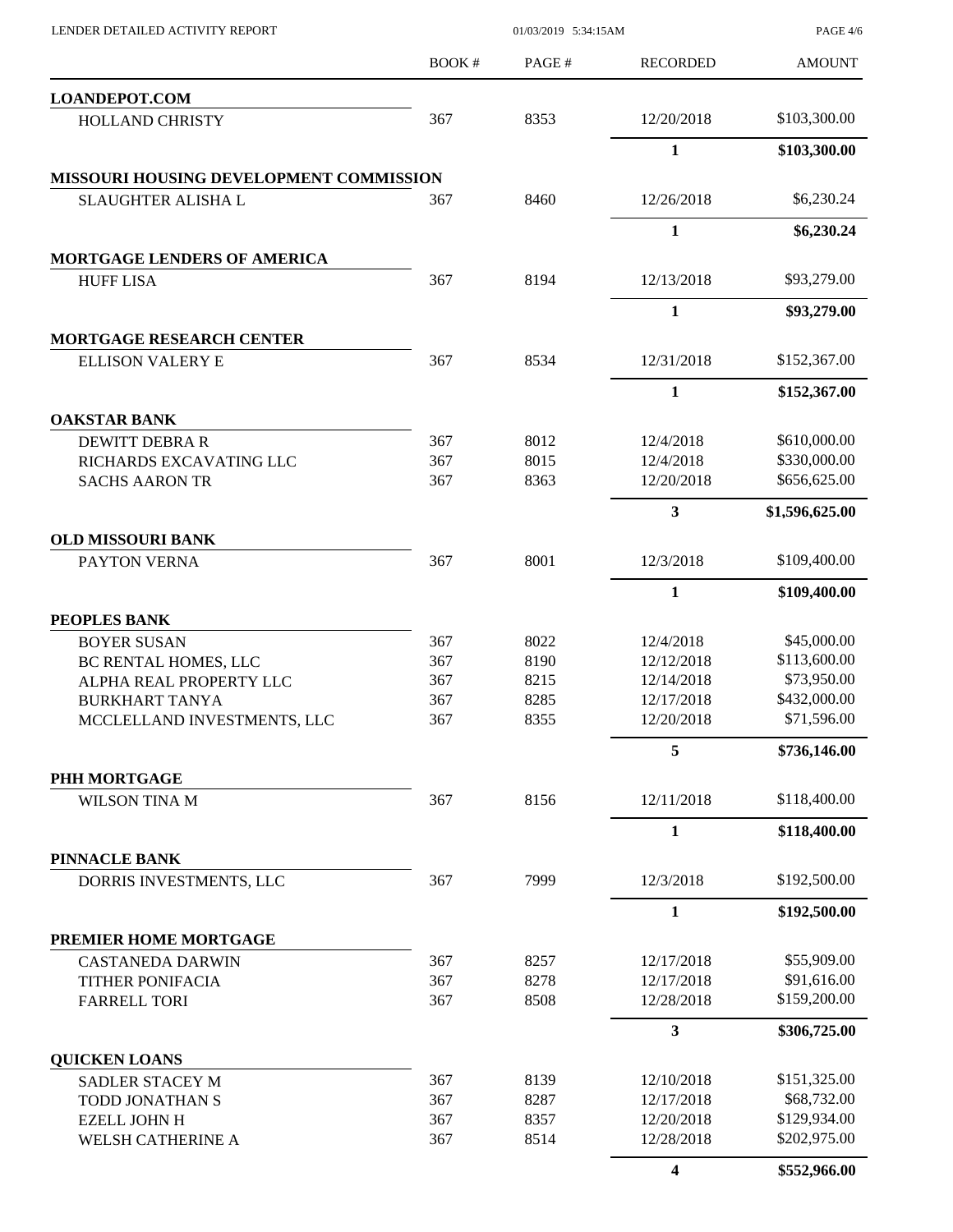| LENDER DETAILED ACTIVITY REPORT                      | 01/03/2019 5:34:15AM |              |                          | <b>PAGE 4/6</b>             |
|------------------------------------------------------|----------------------|--------------|--------------------------|-----------------------------|
|                                                      | BOOK#                | PAGE#        | <b>RECORDED</b>          | <b>AMOUNT</b>               |
| <b>LOANDEPOT.COM</b>                                 |                      |              |                          |                             |
| <b>HOLLAND CHRISTY</b>                               | 367                  | 8353         | 12/20/2018               | \$103,300.00                |
|                                                      |                      |              | 1                        | \$103,300.00                |
| MISSOURI HOUSING DEVELOPMENT COMMISSION              |                      |              |                          |                             |
| SLAUGHTER ALISHA L                                   | 367                  | 8460         | 12/26/2018               | \$6,230.24                  |
|                                                      |                      |              | $\mathbf{1}$             | \$6,230.24                  |
| <b>MORTGAGE LENDERS OF AMERICA</b>                   |                      |              |                          |                             |
| <b>HUFF LISA</b>                                     | 367                  | 8194         | 12/13/2018               | \$93,279.00                 |
| <b>MORTGAGE RESEARCH CENTER</b>                      |                      |              | $\mathbf{1}$             | \$93,279.00                 |
| <b>ELLISON VALERY E</b>                              | 367                  | 8534         | 12/31/2018               | \$152,367.00                |
|                                                      |                      |              | 1                        | \$152,367.00                |
| <b>OAKSTAR BANK</b>                                  |                      |              |                          |                             |
| <b>DEWITT DEBRA R</b>                                | 367                  | 8012         | 12/4/2018                | \$610,000.00                |
| RICHARDS EXCAVATING LLC                              | 367                  | 8015         | 12/4/2018                | \$330,000.00                |
| <b>SACHS AARON TR</b>                                | 367                  | 8363         | 12/20/2018               | \$656,625.00                |
|                                                      |                      |              | 3                        | \$1,596,625.00              |
| <b>OLD MISSOURI BANK</b>                             |                      |              |                          |                             |
| PAYTON VERNA                                         | 367                  | 8001         | 12/3/2018                | \$109,400.00                |
|                                                      |                      |              | $\mathbf{1}$             | \$109,400.00                |
| PEOPLES BANK                                         |                      |              |                          |                             |
| <b>BOYER SUSAN</b>                                   | 367                  | 8022         | 12/4/2018                | \$45,000.00                 |
| BC RENTAL HOMES, LLC                                 | 367                  | 8190         | 12/12/2018               | \$113,600.00                |
| ALPHA REAL PROPERTY LLC                              | 367                  | 8215         | 12/14/2018               | \$73,950.00                 |
| <b>BURKHART TANYA</b><br>MCCLELLAND INVESTMENTS, LLC | 367<br>367           | 8285<br>8355 | 12/17/2018<br>12/20/2018 | \$432,000.00<br>\$71,596.00 |
|                                                      |                      |              | 5                        | \$736,146.00                |
| PHH MORTGAGE                                         |                      |              |                          |                             |
| WILSON TINA M                                        | 367                  | 8156         | 12/11/2018               | \$118,400.00                |
|                                                      |                      |              | 1                        | \$118,400.00                |
| <b>PINNACLE BANK</b>                                 |                      |              |                          |                             |
| DORRIS INVESTMENTS, LLC                              | 367                  | 7999         | 12/3/2018                | \$192,500.00                |
|                                                      |                      |              | $\mathbf{1}$             | \$192,500.00                |
| PREMIER HOME MORTGAGE                                |                      |              |                          |                             |
| <b>CASTANEDA DARWIN</b>                              | 367                  | 8257         | 12/17/2018               | \$55,909.00                 |
| TITHER PONIFACIA                                     | 367                  | 8278         | 12/17/2018               | \$91,616.00                 |
| <b>FARRELL TORI</b>                                  | 367                  | 8508         | 12/28/2018               | \$159,200.00                |
|                                                      |                      |              | 3                        | \$306,725.00                |
| <b>QUICKEN LOANS</b><br>SADLER STACEY M              | 367                  | 8139         | 12/10/2018               | \$151,325.00                |
| TODD JONATHAN S                                      | 367                  | 8287         | 12/17/2018               | \$68,732.00                 |
| <b>EZELL JOHN H</b>                                  | 367                  | 8357         | 12/20/2018               | \$129,934.00                |
| <b>WELSH CATHERINE A</b>                             | 367                  | 8514         | 12/28/2018               | \$202,975.00                |
|                                                      |                      |              | 4                        | \$552,966.00                |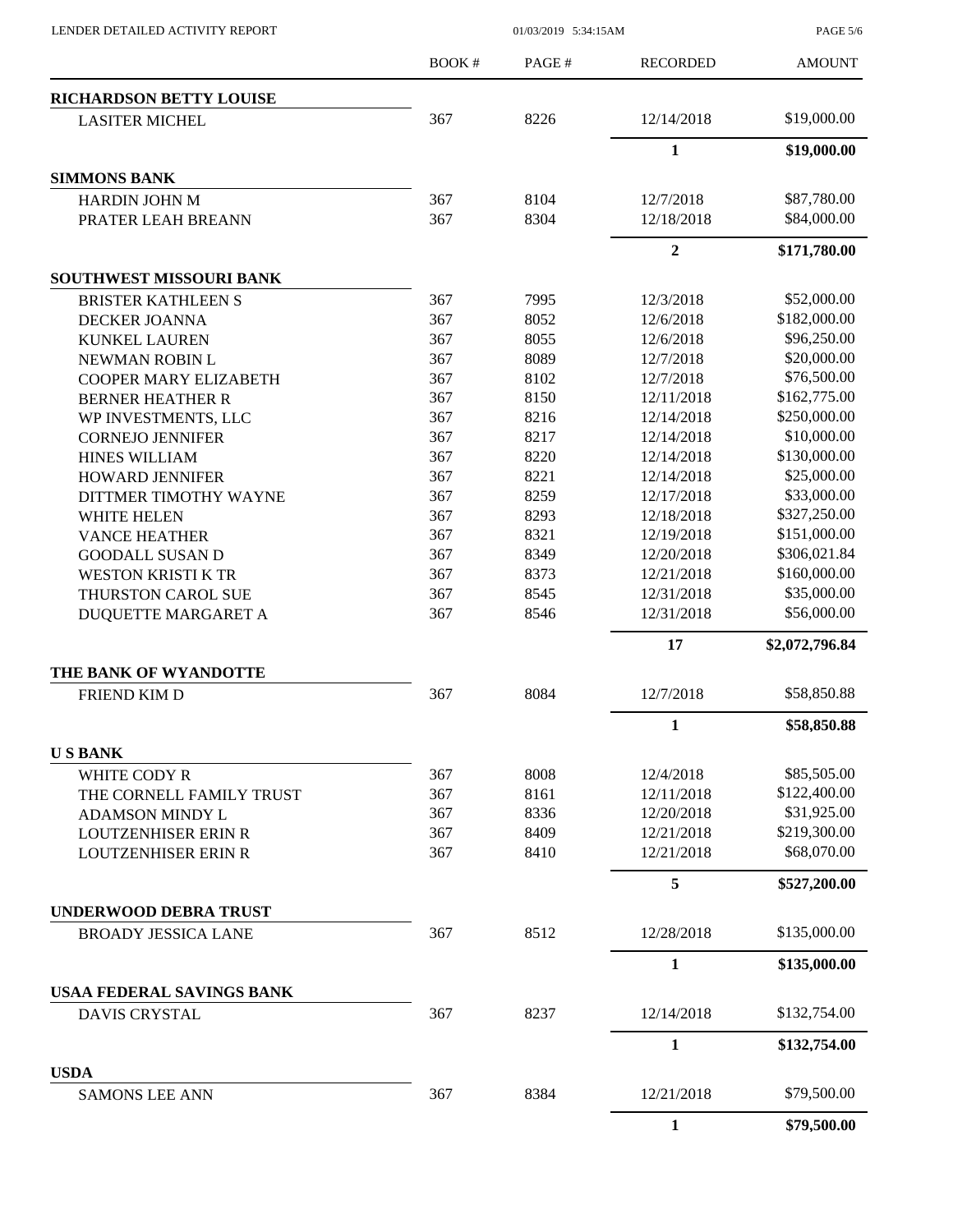LENDER DETAILED ACTIVITY REPORT 01/03/2019 5:34:15AM

PAGE 5/6

|                                                            | <b>BOOK#</b> | PAGE#        | <b>RECORDED</b>          | <b>AMOUNT</b>               |
|------------------------------------------------------------|--------------|--------------|--------------------------|-----------------------------|
| <b>RICHARDSON BETTY LOUISE</b>                             |              |              |                          |                             |
| <b>LASITER MICHEL</b>                                      | 367          | 8226         | 12/14/2018               | \$19,000.00                 |
|                                                            |              |              | $\mathbf{1}$             | \$19,000.00                 |
| <b>SIMMONS BANK</b>                                        |              |              |                          |                             |
| <b>HARDIN JOHN M</b>                                       | 367          | 8104         | 12/7/2018                | \$87,780.00                 |
| PRATER LEAH BREANN                                         | 367          | 8304         | 12/18/2018               | \$84,000.00                 |
|                                                            |              |              | $\overline{2}$           | \$171,780.00                |
| SOUTHWEST MISSOURI BANK                                    |              |              |                          |                             |
| <b>BRISTER KATHLEEN S</b>                                  | 367          | 7995         | 12/3/2018                | \$52,000.00                 |
| DECKER JOANNA                                              | 367          | 8052         | 12/6/2018                | \$182,000.00                |
| <b>KUNKEL LAUREN</b>                                       | 367          | 8055         | 12/6/2018                | \$96,250.00                 |
| NEWMAN ROBIN L                                             | 367          | 8089         | 12/7/2018                | \$20,000.00                 |
| <b>COOPER MARY ELIZABETH</b>                               | 367          | 8102         | 12/7/2018                | \$76,500.00                 |
| <b>BERNER HEATHER R</b>                                    | 367          | 8150         | 12/11/2018               | \$162,775.00                |
| WP INVESTMENTS, LLC                                        | 367          | 8216         | 12/14/2018               | \$250,000.00                |
| <b>CORNEJO JENNIFER</b>                                    | 367          | 8217         | 12/14/2018               | \$10,000.00                 |
| <b>HINES WILLIAM</b>                                       | 367          | 8220         | 12/14/2018               | \$130,000.00                |
| <b>HOWARD JENNIFER</b>                                     | 367          | 8221         | 12/14/2018               | \$25,000.00                 |
| DITTMER TIMOTHY WAYNE                                      | 367          | 8259         | 12/17/2018               | \$33,000.00                 |
| <b>WHITE HELEN</b>                                         | 367          | 8293         | 12/18/2018               | \$327,250.00                |
| <b>VANCE HEATHER</b>                                       | 367          | 8321         | 12/19/2018               | \$151,000.00                |
| <b>GOODALL SUSAN D</b>                                     | 367          | 8349         | 12/20/2018               | \$306,021.84                |
|                                                            | 367          | 8373         | 12/21/2018               | \$160,000.00                |
| <b>WESTON KRISTI K TR</b>                                  |              |              |                          | \$35,000.00                 |
| THURSTON CAROL SUE                                         | 367<br>367   | 8545<br>8546 | 12/31/2018<br>12/31/2018 | \$56,000.00                 |
| DUQUETTE MARGARET A                                        |              |              |                          |                             |
|                                                            |              |              | 17                       | \$2,072,796.84              |
| THE BANK OF WYANDOTTE                                      | 367          | 8084         | 12/7/2018                | \$58,850.88                 |
| <b>FRIEND KIM D</b>                                        |              |              |                          |                             |
|                                                            |              |              | $\mathbf{1}$             | \$58,850.88                 |
| <b>USBANK</b><br>WHITE CODY R                              | 367          | 8008         | 12/4/2018                | \$85,505.00                 |
| THE CORNELL FAMILY TRUST                                   | 367          | 8161         | 12/11/2018               | \$122,400.00                |
|                                                            |              |              |                          | \$31,925.00                 |
| <b>ADAMSON MINDY L</b>                                     | 367          | 8336         | 12/20/2018               |                             |
| <b>LOUTZENHISER ERIN R</b><br><b>LOUTZENHISER ERIN R</b>   | 367          | 8409         | 12/21/2018               | \$219,300.00<br>\$68,070.00 |
|                                                            | 367          | 8410         | 12/21/2018               |                             |
|                                                            |              |              | 5                        | \$527,200.00                |
| <b>UNDERWOOD DEBRA TRUST</b><br><b>BROADY JESSICA LANE</b> | 367          | 8512         | 12/28/2018               | \$135,000.00                |
|                                                            |              |              | $\mathbf{1}$             | \$135,000.00                |
| <b>USAA FEDERAL SAVINGS BANK</b>                           |              |              |                          |                             |
| <b>DAVIS CRYSTAL</b>                                       | 367          | 8237         | 12/14/2018               | \$132,754.00                |
|                                                            |              |              | $\mathbf{1}$             | \$132,754.00                |
| <b>USDA</b>                                                |              |              |                          |                             |
| <b>SAMONS LEE ANN</b>                                      | 367          | 8384         | 12/21/2018               | \$79,500.00                 |
|                                                            |              |              | $\mathbf{1}$             | \$79,500.00                 |